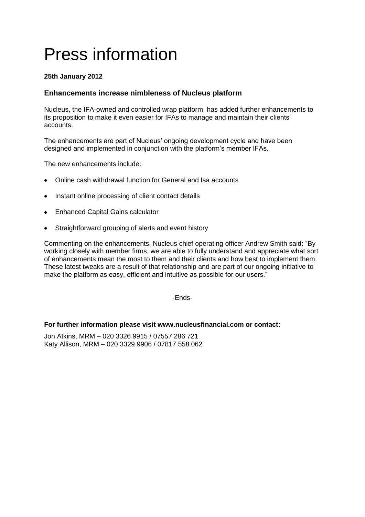# Press information

# **25th January 2012**

# **Enhancements increase nimbleness of Nucleus platform**

Nucleus, the IFA-owned and controlled wrap platform, has added further enhancements to its proposition to make it even easier for IFAs to manage and maintain their clients' accounts.

The enhancements are part of Nucleus' ongoing development cycle and have been designed and implemented in conjunction with the platform's member IFAs.

The new enhancements include:

- Online cash withdrawal function for General and Isa accounts
- Instant online processing of client contact details
- Enhanced Capital Gains calculator
- Straightforward grouping of alerts and event history

Commenting on the enhancements, Nucleus chief operating officer Andrew Smith said: "By working closely with member firms, we are able to fully understand and appreciate what sort of enhancements mean the most to them and their clients and how best to implement them. These latest tweaks are a result of that relationship and are part of our ongoing initiative to make the platform as easy, efficient and intuitive as possible for our users."

-Ends-

## **For further information please visit www.nucleusfinancial.com or contact:**

Jon Atkins, MRM – 020 3326 9915 / 07557 286 721 Katy Allison, MRM – 020 3329 9906 / 07817 558 062